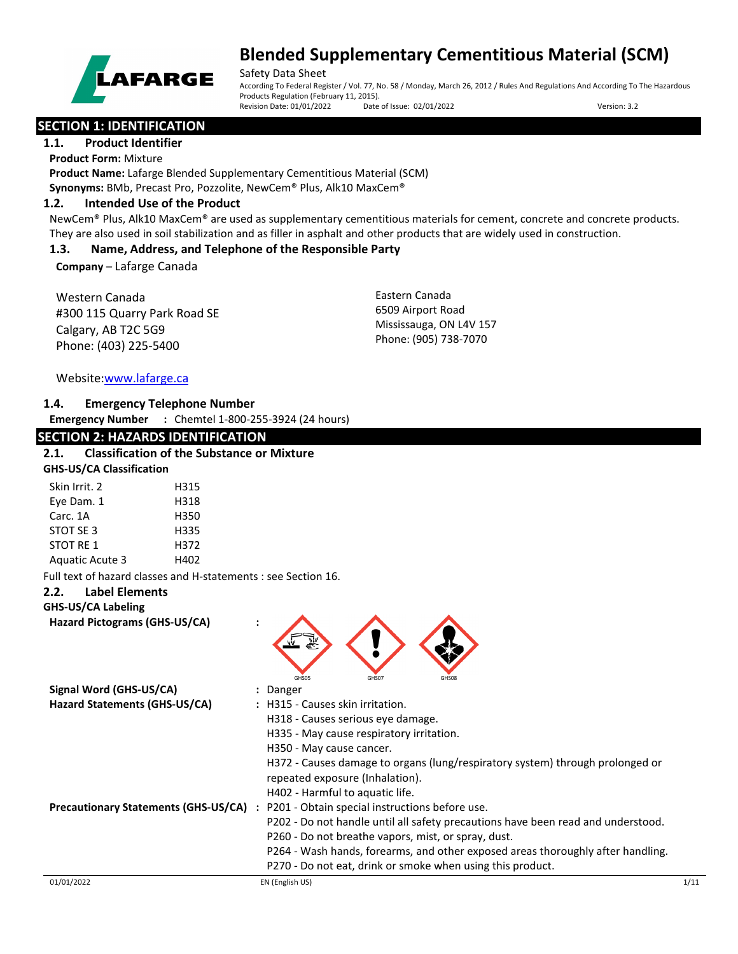

Safety Data Sheet

According To Federal Register / Vol. 77, No. 58 / Monday, March 26, 2012 / Rules And Regulations And According To The Hazardous Products Regulation (February 11, 2015). Revision Date: 01/01/2022 Date of Issue: 02/01/2022 Version: 3.2

## **SECTION 1: IDENTIFICATION**

#### **1.1. Product Identifier**

**Product Form:** Mixture **Product Name:** Lafarge Blended Supplementary Cementitious Material (SCM) **Synonyms:** BMb, Precast Pro, Pozzolite, NewCem® Plus, Alk10 MaxCem®

### **1.2. Intended Use of the Product**

NewCem® Plus, Alk10 MaxCem® are used as supplementary cementitious materials for cement, concrete and concrete products. They are also used in soil stabilization and as filler in asphalt and other products that are widely used in construction.

## **1.3. Name, Address, and Telephone of the Responsible Party**

**Company** – Lafarge Canada

Western Canada #300 115 Quarry Park Road SE Calgary, AB T2C 5G9 Phone: (403) 225-5400

Eastern Canada 6509 Airport Road Mississauga, ON L4V 157 Phone: (905) 738-7070

Website[:www.lafarge.ca](file://leon/customers/CUSTOMERS/Lafarge_North_America_Inc/Projects/Authoring_20180316/Batch_Folder/B_Draft_SDS/MS_Word_Files/www.lafarge.ca)

## **1.4. Emergency Telephone Number**

**Emergency Number :** Chemtel 1-800-255-3924 (24 hours)

## **SECTION 2: HAZARDS IDENTIFICATION**

## **2.1. Classification of the Substance or Mixture**

| <b>GHS-US/CA Classification</b> |      |  |
|---------------------------------|------|--|
| Skin Irrit. 2                   | H315 |  |
| Eye Dam. 1                      | H318 |  |
| Carc. 1A                        | H350 |  |
| STOT SE 3                       | H335 |  |
| <b>STOT RE 1</b>                | H372 |  |
| <b>Aquatic Acute 3</b>          | H402 |  |

Full text of hazard classes and H-statements : see Section 16.

### **2.2. Label Elements**

### **GHS-US/CA Labeling**

**Hazard Pictograms (GHS-US/CA) :**



| Signal Word (GHS-US/CA)                     | : Danger                                                                         |
|---------------------------------------------|----------------------------------------------------------------------------------|
| Hazard Statements (GHS-US/CA)               | : H315 - Causes skin irritation.                                                 |
|                                             | H318 - Causes serious eye damage.                                                |
|                                             | H335 - May cause respiratory irritation.                                         |
|                                             | H350 - May cause cancer.                                                         |
|                                             | H372 - Causes damage to organs (lung/respiratory system) through prolonged or    |
|                                             | repeated exposure (Inhalation).                                                  |
|                                             | H402 - Harmful to aquatic life.                                                  |
| <b>Precautionary Statements (GHS-US/CA)</b> | P201 - Obtain special instructions before use.<br>$\ddot{\phantom{a}}$           |
|                                             | P202 - Do not handle until all safety precautions have been read and understood. |
|                                             | P260 - Do not breathe vapors, mist, or spray, dust.                              |
|                                             | P264 - Wash hands, forearms, and other exposed areas thoroughly after handling.  |
|                                             | P270 - Do not eat, drink or smoke when using this product.                       |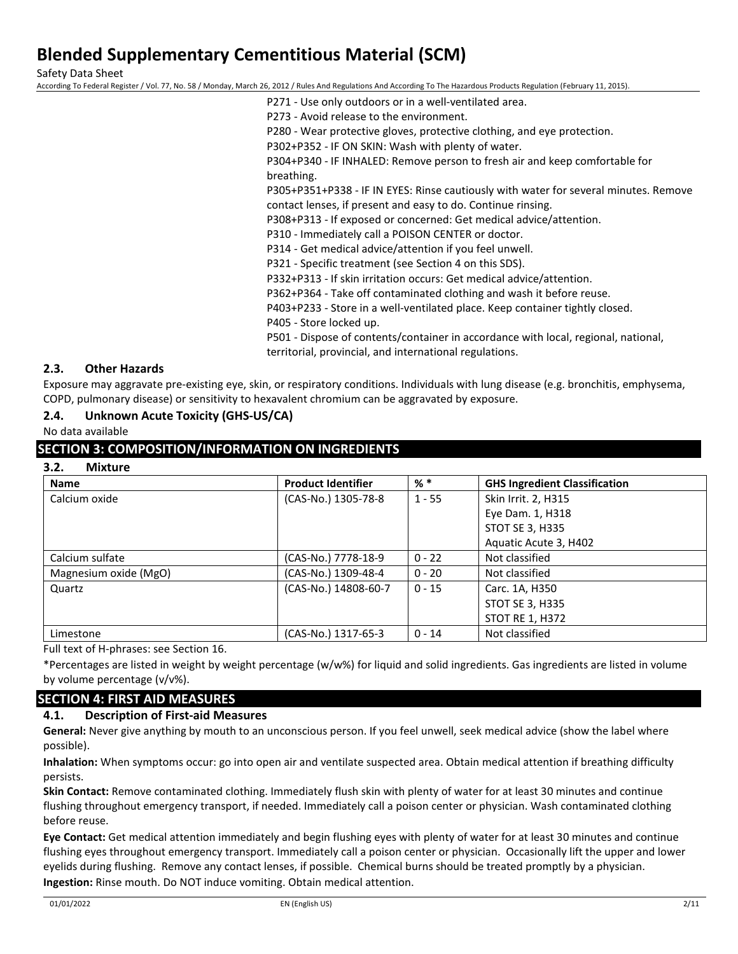Safety Data Sheet

According To Federal Register / Vol. 77, No. 58 / Monday, March 26, 2012 / Rules And Regulations And According To The Hazardous Products Regulation (February 11, 2015).

P271 - Use only outdoors or in a well-ventilated area.

P273 - Avoid release to the environment.

P280 - Wear protective gloves, protective clothing, and eye protection.

P302+P352 - IF ON SKIN: Wash with plenty of water.

P304+P340 - IF INHALED: Remove person to fresh air and keep comfortable for breathing.

P305+P351+P338 - IF IN EYES: Rinse cautiously with water for several minutes. Remove contact lenses, if present and easy to do. Continue rinsing.

P308+P313 - If exposed or concerned: Get medical advice/attention.

P310 - Immediately call a POISON CENTER or doctor.

P314 - Get medical advice/attention if you feel unwell.

P321 - Specific treatment (see Section 4 on this SDS).

P332+P313 - If skin irritation occurs: Get medical advice/attention.

P362+P364 - Take off contaminated clothing and wash it before reuse.

P403+P233 - Store in a well-ventilated place. Keep container tightly closed.

P405 - Store locked up.

P501 - Dispose of contents/container in accordance with local, regional, national, territorial, provincial, and international regulations.

### **2.3. Other Hazards**

Exposure may aggravate pre-existing eye, skin, or respiratory conditions. Individuals with lung disease (e.g. bronchitis, emphysema, COPD, pulmonary disease) or sensitivity to hexavalent chromium can be aggravated by exposure.

## **2.4. Unknown Acute Toxicity (GHS-US/CA)**

No data available

## **SECTION 3: COMPOSITION/INFORMATION ON INGREDIENTS**

| 3.2. | <b>Mixture</b> |
|------|----------------|
|      |                |

| <b>Name</b>           | <b>Product Identifier</b> | $%$ *    | <b>GHS Ingredient Classification</b> |
|-----------------------|---------------------------|----------|--------------------------------------|
| Calcium oxide         | (CAS-No.) 1305-78-8       | $1 - 55$ | Skin Irrit. 2, H315                  |
|                       |                           |          | Eye Dam. 1, H318                     |
|                       |                           |          | <b>STOT SE 3, H335</b>               |
|                       |                           |          | Aquatic Acute 3, H402                |
| Calcium sulfate       | (CAS-No.) 7778-18-9       | $0 - 22$ | Not classified                       |
| Magnesium oxide (MgO) | (CAS-No.) 1309-48-4       | $0 - 20$ | Not classified                       |
| Quartz                | (CAS-No.) 14808-60-7      | $0 - 15$ | Carc. 1A, H350                       |
|                       |                           |          | <b>STOT SE 3, H335</b>               |
|                       |                           |          | <b>STOT RE 1, H372</b>               |
| Limestone             | (CAS-No.) 1317-65-3       | $0 - 14$ | Not classified                       |

Full text of H-phrases: see Section 16.

\*Percentages are listed in weight by weight percentage (w/w%) for liquid and solid ingredients. Gas ingredients are listed in volume by volume percentage (v/v%).

## **SECTION 4: FIRST AID MEASURES**

### **4.1. Description of First-aid Measures**

**General:** Never give anything by mouth to an unconscious person. If you feel unwell, seek medical advice (show the label where possible).

**Inhalation:** When symptoms occur: go into open air and ventilate suspected area. Obtain medical attention if breathing difficulty persists.

**Skin Contact:** Remove contaminated clothing. Immediately flush skin with plenty of water for at least 30 minutes and continue flushing throughout emergency transport, if needed. Immediately call a poison center or physician. Wash contaminated clothing before reuse.

**Eye Contact:** Get medical attention immediately and begin flushing eyes with plenty of water for at least 30 minutes and continue flushing eyes throughout emergency transport. Immediately call a poison center or physician. Occasionally lift the upper and lower eyelids during flushing. Remove any contact lenses, if possible. Chemical burns should be treated promptly by a physician. **Ingestion:** Rinse mouth. Do NOT induce vomiting. Obtain medical attention.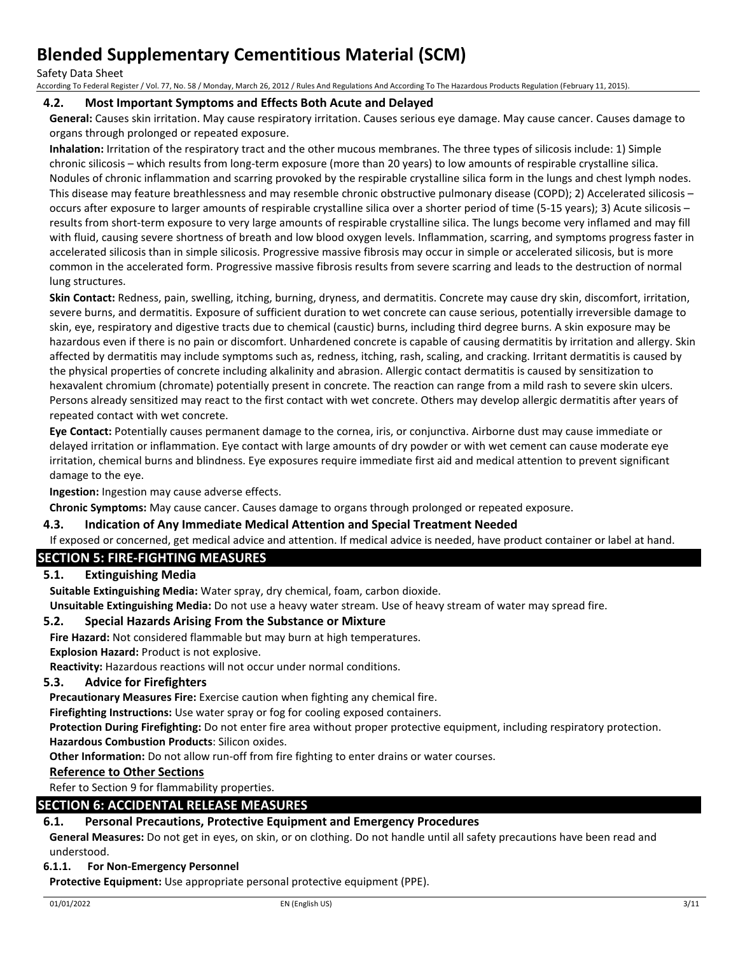Safety Data Sheet

According To Federal Register / Vol. 77, No. 58 / Monday, March 26, 2012 / Rules And Regulations And According To The Hazardous Products Regulation (February 11, 2015).

### **4.2. Most Important Symptoms and Effects Both Acute and Delayed**

**General:** Causes skin irritation. May cause respiratory irritation. Causes serious eye damage. May cause cancer. Causes damage to organs through prolonged or repeated exposure.

**Inhalation:** Irritation of the respiratory tract and the other mucous membranes. The three types of silicosis include: 1) Simple chronic silicosis – which results from long-term exposure (more than 20 years) to low amounts of respirable crystalline silica. Nodules of chronic inflammation and scarring provoked by the respirable crystalline silica form in the lungs and chest lymph nodes. This disease may feature breathlessness and may resemble chronic obstructive pulmonary disease (COPD); 2) Accelerated silicosis – occurs after exposure to larger amounts of respirable crystalline silica over a shorter period of time (5-15 years); 3) Acute silicosis – results from short-term exposure to very large amounts of respirable crystalline silica. The lungs become very inflamed and may fill with fluid, causing severe shortness of breath and low blood oxygen levels. Inflammation, scarring, and symptoms progress faster in accelerated silicosis than in simple silicosis. Progressive massive fibrosis may occur in simple or accelerated silicosis, but is more common in the accelerated form. Progressive massive fibrosis results from severe scarring and leads to the destruction of normal lung structures.

**Skin Contact:** Redness, pain, swelling, itching, burning, dryness, and dermatitis. Concrete may cause dry skin, discomfort, irritation, severe burns, and dermatitis. Exposure of sufficient duration to wet concrete can cause serious, potentially irreversible damage to skin, eye, respiratory and digestive tracts due to chemical (caustic) burns, including third degree burns. A skin exposure may be hazardous even if there is no pain or discomfort. Unhardened concrete is capable of causing dermatitis by irritation and allergy. Skin affected by dermatitis may include symptoms such as, redness, itching, rash, scaling, and cracking. Irritant dermatitis is caused by the physical properties of concrete including alkalinity and abrasion. Allergic contact dermatitis is caused by sensitization to hexavalent chromium (chromate) potentially present in concrete. The reaction can range from a mild rash to severe skin ulcers. Persons already sensitized may react to the first contact with wet concrete. Others may develop allergic dermatitis after years of repeated contact with wet concrete.

**Eye Contact:** Potentially causes permanent damage to the cornea, iris, or conjunctiva. Airborne dust may cause immediate or delayed irritation or inflammation. Eye contact with large amounts of dry powder or with wet cement can cause moderate eye irritation, chemical burns and blindness. Eye exposures require immediate first aid and medical attention to prevent significant damage to the eye.

**Ingestion:** Ingestion may cause adverse effects.

**Chronic Symptoms:** May cause cancer. Causes damage to organs through prolonged or repeated exposure.

### **4.3. Indication of Any Immediate Medical Attention and Special Treatment Needed**

If exposed or concerned, get medical advice and attention. If medical advice is needed, have product container or label at hand.

## **SECTION 5: FIRE-FIGHTING MEASURES**

### **5.1. Extinguishing Media**

**Suitable Extinguishing Media:** Water spray, dry chemical, foam, carbon dioxide.

**Unsuitable Extinguishing Media:** Do not use a heavy water stream. Use of heavy stream of water may spread fire.

### **5.2. Special Hazards Arising From the Substance or Mixture**

**Fire Hazard:** Not considered flammable but may burn at high temperatures.

**Explosion Hazard:** Product is not explosive.

**Reactivity:** Hazardous reactions will not occur under normal conditions.

## **5.3. Advice for Firefighters**

**Precautionary Measures Fire:** Exercise caution when fighting any chemical fire.

**Firefighting Instructions:** Use water spray or fog for cooling exposed containers.

**Protection During Firefighting:** Do not enter fire area without proper protective equipment, including respiratory protection. **Hazardous Combustion Products**: Silicon oxides.

**Other Information:** Do not allow run-off from fire fighting to enter drains or water courses.

### **Reference to Other Sections**

Refer to Section 9 for flammability properties.

### **SECTION 6: ACCIDENTAL RELEASE MEASURES**

### **6.1. Personal Precautions, Protective Equipment and Emergency Procedures**

**General Measures:** Do not get in eyes, on skin, or on clothing. Do not handle until all safety precautions have been read and understood.

### **6.1.1. For Non-Emergency Personnel**

**Protective Equipment:** Use appropriate personal protective equipment (PPE).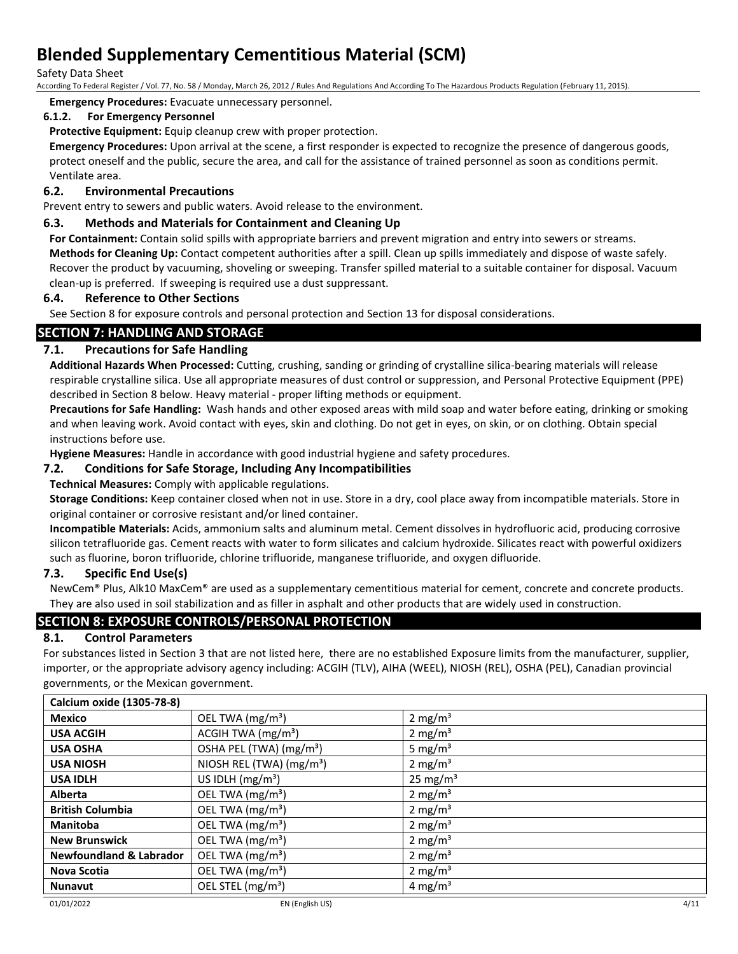Safety Data Sheet

According To Federal Register / Vol. 77, No. 58 / Monday, March 26, 2012 / Rules And Regulations And According To The Hazardous Products Regulation (February 11, 2015).

**Emergency Procedures:** Evacuate unnecessary personnel.

## **6.1.2. For Emergency Personnel**

**Protective Equipment:** Equip cleanup crew with proper protection.

**Emergency Procedures:** Upon arrival at the scene, a first responder is expected to recognize the presence of dangerous goods, protect oneself and the public, secure the area, and call for the assistance of trained personnel as soon as conditions permit. Ventilate area.

## **6.2. Environmental Precautions**

Prevent entry to sewers and public waters. Avoid release to the environment.

## **6.3. Methods and Materials for Containment and Cleaning Up**

**For Containment:** Contain solid spills with appropriate barriers and prevent migration and entry into sewers or streams. **Methods for Cleaning Up:** Contact competent authorities after a spill. Clean up spills immediately and dispose of waste safely. Recover the product by vacuuming, shoveling or sweeping. Transfer spilled material to a suitable container for disposal. Vacuum clean-up is preferred. If sweeping is required use a dust suppressant.

## **6.4. Reference to Other Sections**

See Section 8 for exposure controls and personal protection and Section 13 for disposal considerations.

## **SECTION 7: HANDLING AND STORAGE**

## **7.1. Precautions for Safe Handling**

**Additional Hazards When Processed:** Cutting, crushing, sanding or grinding of crystalline silica-bearing materials will release respirable crystalline silica. Use all appropriate measures of dust control or suppression, and Personal Protective Equipment (PPE) described in Section 8 below. Heavy material - proper lifting methods or equipment.

**Precautions for Safe Handling:** Wash hands and other exposed areas with mild soap and water before eating, drinking or smoking and when leaving work. Avoid contact with eyes, skin and clothing. Do not get in eyes, on skin, or on clothing. Obtain special instructions before use.

**Hygiene Measures:** Handle in accordance with good industrial hygiene and safety procedures.

## **7.2. Conditions for Safe Storage, Including Any Incompatibilities**

**Technical Measures:** Comply with applicable regulations.

**Storage Conditions:** Keep container closed when not in use. Store in a dry, cool place away from incompatible materials. Store in original container or corrosive resistant and/or lined container.

**Incompatible Materials:** Acids, ammonium salts and aluminum metal. Cement dissolves in hydrofluoric acid, producing corrosive silicon tetrafluoride gas. Cement reacts with water to form silicates and calcium hydroxide. Silicates react with powerful oxidizers such as fluorine, boron trifluoride, chlorine trifluoride, manganese trifluoride, and oxygen difluoride.

### **7.3. Specific End Use(s)**

NewCem® Plus, Alk10 MaxCem® are used as a supplementary cementitious material for cement, concrete and concrete products. They are also used in soil stabilization and as filler in asphalt and other products that are widely used in construction.

## **SECTION 8: EXPOSURE CONTROLS/PERSONAL PROTECTION**

## **8.1. Control Parameters**

For substances listed in Section 3 that are not listed here, there are no established Exposure limits from the manufacturer, supplier, importer, or the appropriate advisory agency including: ACGIH (TLV), AIHA (WEEL), NIOSH (REL), OSHA (PEL), Canadian provincial governments, or the Mexican government.

| <b>Calcium oxide (1305-78-8)</b>   |                                      |                      |
|------------------------------------|--------------------------------------|----------------------|
| Mexico                             | OEL TWA $(mg/m3)$                    | 2 mg/m <sup>3</sup>  |
| <b>USA ACGIH</b>                   | ACGIH TWA $(mg/m3)$                  | 2 mg/m <sup>3</sup>  |
| <b>USA OSHA</b>                    | OSHA PEL (TWA) (mg/m <sup>3</sup> )  | 5 mg/m <sup>3</sup>  |
| <b>USA NIOSH</b>                   | NIOSH REL (TWA) (mg/m <sup>3</sup> ) | 2 mg/m <sup>3</sup>  |
| <b>USA IDLH</b>                    | US IDLH $(mg/m3)$                    | 25 mg/m <sup>3</sup> |
| <b>Alberta</b>                     | OEL TWA (mg/m <sup>3</sup> )         | 2 mg/m <sup>3</sup>  |
| <b>British Columbia</b>            | OEL TWA (mg/m <sup>3</sup> )         | 2 mg/m <sup>3</sup>  |
| <b>Manitoba</b>                    | OEL TWA $(mg/m3)$                    | 2 mg/m <sup>3</sup>  |
| <b>New Brunswick</b>               | OEL TWA (mg/m <sup>3</sup> )         | 2 mg/m <sup>3</sup>  |
| <b>Newfoundland &amp; Labrador</b> | OEL TWA (mg/m <sup>3</sup> )         | 2 mg/m <sup>3</sup>  |
| Nova Scotia                        | OEL TWA (mg/m <sup>3</sup> )         | 2 mg/m <sup>3</sup>  |
| <b>Nunavut</b>                     | OEL STEL $(mg/m3)$                   | 4 mg/m <sup>3</sup>  |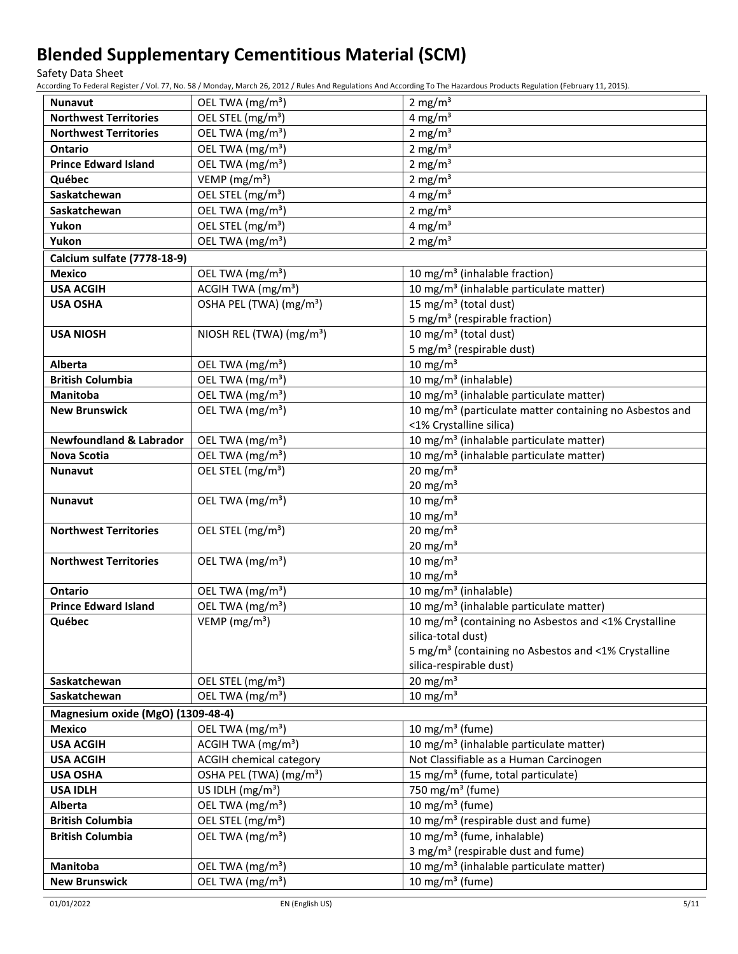Safety Data Sheet

According To Federal Register / Vol. 77, No. 58 / Monday, March 26, 2012 / Rules And Regulations And According To The Hazardous Products Regulation (February 11, 2015).

| <b>Nunavut</b>                      | OEL TWA $(mg/m3)$                                              | 2 mg/ $m3$                                                                                    |
|-------------------------------------|----------------------------------------------------------------|-----------------------------------------------------------------------------------------------|
| <b>Northwest Territories</b>        | OEL STEL (mg/m <sup>3</sup> )                                  | 4 mg/ $m3$                                                                                    |
| <b>Northwest Territories</b>        | OEL TWA (mg/m <sup>3</sup> )                                   | 2 mg/ $m3$                                                                                    |
| Ontario                             | OEL TWA (mg/m <sup>3</sup> )                                   | 2 mg/ $m3$                                                                                    |
| <b>Prince Edward Island</b>         | OEL TWA (mg/m <sup>3</sup> )                                   | 2 mg/ $m3$                                                                                    |
| Québec                              | VEMP ( $mg/m3$ )                                               | 2 mg/ $m3$                                                                                    |
| Saskatchewan                        | OEL STEL (mg/m <sup>3</sup> )                                  | 4 mg/m $3$                                                                                    |
| Saskatchewan                        | OEL TWA (mg/m <sup>3</sup> )                                   | 2 mg/ $m3$                                                                                    |
| Yukon                               | OEL STEL (mg/m <sup>3</sup> )                                  | 4 mg/ $m3$                                                                                    |
| Yukon                               | OEL TWA (mg/m <sup>3</sup> )                                   | 2 mg/m $3$                                                                                    |
| Calcium sulfate (7778-18-9)         |                                                                |                                                                                               |
| <b>Mexico</b>                       | OEL TWA (mg/m <sup>3</sup> )                                   | 10 mg/m <sup>3</sup> (inhalable fraction)                                                     |
| <b>USA ACGIH</b>                    | ACGIH TWA (mg/m <sup>3</sup> )                                 | 10 mg/m <sup>3</sup> (inhalable particulate matter)                                           |
| <b>USA OSHA</b>                     | OSHA PEL (TWA) (mg/m <sup>3</sup> )                            | 15 mg/m <sup>3</sup> (total dust)                                                             |
|                                     |                                                                | 5 mg/m <sup>3</sup> (respirable fraction)                                                     |
| <b>USA NIOSH</b>                    | NIOSH REL (TWA) (mg/m <sup>3</sup> )                           | 10 mg/m <sup>3</sup> (total dust)                                                             |
|                                     |                                                                | 5 mg/m <sup>3</sup> (respirable dust)                                                         |
| Alberta                             | OEL TWA (mg/m <sup>3</sup> )                                   | $10 \text{ mg/m}^3$                                                                           |
| <b>British Columbia</b>             | OEL TWA (mg/m <sup>3</sup> )                                   | 10 mg/m <sup>3</sup> (inhalable)                                                              |
| <b>Manitoba</b>                     | OEL TWA (mg/m <sup>3</sup> )                                   | 10 mg/m <sup>3</sup> (inhalable particulate matter)                                           |
| <b>New Brunswick</b>                | OEL TWA (mg/m <sup>3</sup> )                                   | 10 mg/m <sup>3</sup> (particulate matter containing no Asbestos and                           |
|                                     |                                                                | <1% Crystalline silica)                                                                       |
| <b>Newfoundland &amp; Labrador</b>  | OEL TWA (mg/m <sup>3</sup> )                                   | 10 mg/m <sup>3</sup> (inhalable particulate matter)                                           |
| Nova Scotia                         | OEL TWA (mg/m <sup>3</sup> )                                   | 10 mg/m <sup>3</sup> (inhalable particulate matter)                                           |
| <b>Nunavut</b>                      | OEL STEL (mg/m <sup>3</sup> )                                  | $20 \text{ mg/m}^3$                                                                           |
|                                     |                                                                | $20 \text{ mg/m}^3$                                                                           |
| <b>Nunavut</b>                      | OEL TWA (mg/m <sup>3</sup> )                                   | $10 \text{ mg/m}^3$                                                                           |
|                                     |                                                                | $10 \text{ mg/m}^3$                                                                           |
| <b>Northwest Territories</b>        | OEL STEL (mg/m <sup>3</sup> )                                  | 20 mg/m $3$                                                                                   |
|                                     |                                                                | $20 \text{ mg/m}^3$                                                                           |
| <b>Northwest Territories</b>        | OEL TWA (mg/m <sup>3</sup> )                                   | $10 \text{ mg/m}^3$                                                                           |
|                                     |                                                                | $10 \text{ mg/m}^3$                                                                           |
| <b>Ontario</b>                      | OEL TWA (mg/m <sup>3</sup> )                                   | 10 mg/m <sup>3</sup> (inhalable)                                                              |
| <b>Prince Edward Island</b>         | OEL TWA (mg/m <sup>3</sup> )                                   | 10 mg/m <sup>3</sup> (inhalable particulate matter)                                           |
| Québec                              | VEMP ( $mg/m3$ )                                               | 10 mg/m <sup>3</sup> (containing no Asbestos and <1% Crystalline                              |
|                                     |                                                                | silica-total dust)<br>5 mg/m <sup>3</sup> (containing no Asbestos and <1% Crystalline         |
|                                     |                                                                | silica-respirable dust)                                                                       |
| Saskatchewan                        | OEL STEL (mg/m <sup>3</sup> )                                  | $20 \text{ mg/m}^3$                                                                           |
| Saskatchewan                        | OEL TWA (mg/m <sup>3</sup> )                                   | 10 mg/m $3$                                                                                   |
|                                     |                                                                |                                                                                               |
| Magnesium oxide (MgO) (1309-48-4)   |                                                                |                                                                                               |
| <b>Mexico</b><br><b>USA ACGIH</b>   | OEL TWA (mg/m <sup>3</sup> )<br>ACGIH TWA (mg/m <sup>3</sup> ) | 10 mg/m $3$ (fume)                                                                            |
|                                     | <b>ACGIH chemical category</b>                                 | 10 mg/m <sup>3</sup> (inhalable particulate matter)<br>Not Classifiable as a Human Carcinogen |
| <b>USA ACGIH</b><br><b>USA OSHA</b> | OSHA PEL (TWA) (mg/m <sup>3</sup> )                            | 15 mg/m <sup>3</sup> (fume, total particulate)                                                |
| <b>USA IDLH</b>                     |                                                                | 750 mg/m <sup>3</sup> (fume)                                                                  |
|                                     | US IDLH $(mg/m3)$                                              |                                                                                               |
| Alberta<br><b>British Columbia</b>  | OEL TWA (mg/m <sup>3</sup> )                                   | 10 mg/m $3$ (fume)                                                                            |
|                                     | OEL STEL (mg/m <sup>3</sup> )                                  | 10 mg/m <sup>3</sup> (respirable dust and fume)<br>10 mg/m <sup>3</sup> (fume, inhalable)     |
| <b>British Columbia</b>             | OEL TWA (mg/m <sup>3</sup> )                                   | 3 mg/m <sup>3</sup> (respirable dust and fume)                                                |
| Manitoba                            | OEL TWA (mg/m <sup>3</sup> )                                   | 10 mg/m <sup>3</sup> (inhalable particulate matter)                                           |
|                                     |                                                                |                                                                                               |
| <b>New Brunswick</b>                | OEL TWA (mg/m <sup>3</sup> )                                   | 10 mg/m <sup>3</sup> (fume)                                                                   |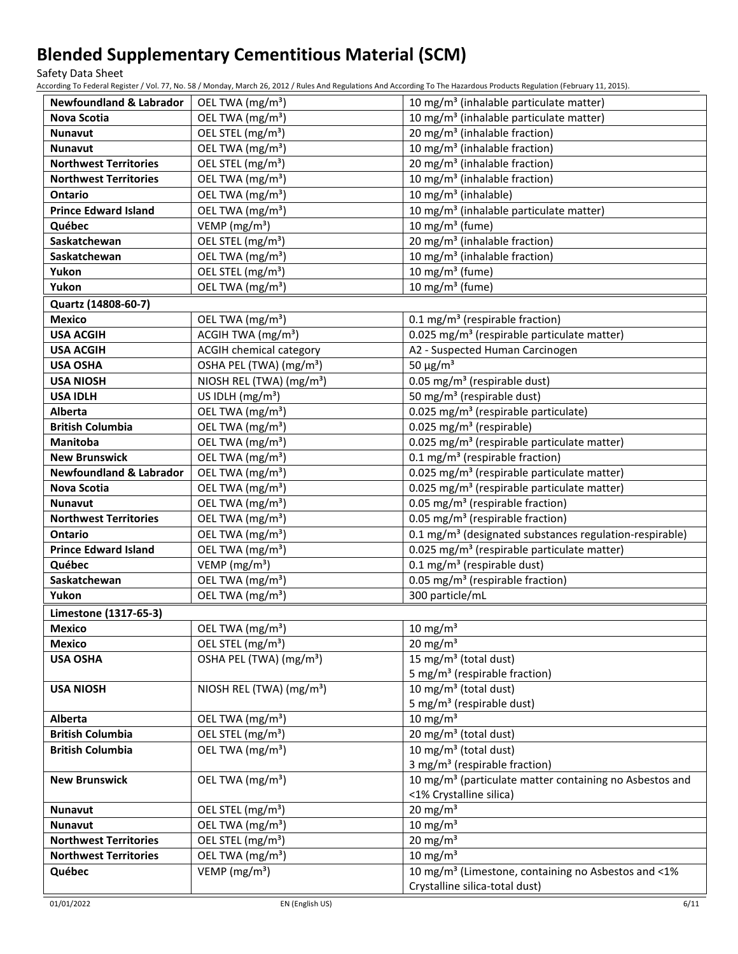Safety Data Sheet

According To Federal Register / Vol. 77, No. 58 / Monday, March 26, 2012 / Rules And Regulations And According To The Hazardous Products Regulation (February 11, 2015).

| <b>Newfoundland &amp; Labrador</b> | OEL TWA (mg/m <sup>3</sup> )         | 10 mg/m <sup>3</sup> (inhalable particulate matter)                 |
|------------------------------------|--------------------------------------|---------------------------------------------------------------------|
| Nova Scotia                        | OEL TWA (mg/m <sup>3</sup> )         | 10 mg/m <sup>3</sup> (inhalable particulate matter)                 |
| <b>Nunavut</b>                     | OEL STEL (mg/m <sup>3</sup> )        | 20 mg/m <sup>3</sup> (inhalable fraction)                           |
| Nunavut                            | OEL TWA (mg/m <sup>3</sup> )         | 10 mg/m <sup>3</sup> (inhalable fraction)                           |
| <b>Northwest Territories</b>       | OEL STEL (mg/m <sup>3</sup> )        | 20 mg/m <sup>3</sup> (inhalable fraction)                           |
| <b>Northwest Territories</b>       | OEL TWA (mg/m <sup>3</sup> )         | 10 mg/m <sup>3</sup> (inhalable fraction)                           |
| Ontario                            | OEL TWA (mg/m <sup>3</sup> )         | 10 mg/m <sup>3</sup> (inhalable)                                    |
| <b>Prince Edward Island</b>        | OEL TWA (mg/m <sup>3</sup> )         | 10 mg/m <sup>3</sup> (inhalable particulate matter)                 |
| Québec                             | VEMP ( $mg/m3$ )                     | 10 mg/m $3$ (fume)                                                  |
| Saskatchewan                       | OEL STEL (mg/m <sup>3</sup> )        | 20 mg/m <sup>3</sup> (inhalable fraction)                           |
| Saskatchewan                       | OEL TWA (mg/m <sup>3</sup> )         | 10 mg/m <sup>3</sup> (inhalable fraction)                           |
| Yukon                              | OEL STEL (mg/m <sup>3</sup> )        | 10 mg/m $3$ (fume)                                                  |
| Yukon                              | OEL TWA (mg/m <sup>3</sup> )         | 10 mg/m $3$ (fume)                                                  |
| Quartz (14808-60-7)                |                                      |                                                                     |
| <b>Mexico</b>                      | OEL TWA (mg/m <sup>3</sup> )         | 0.1 mg/m <sup>3</sup> (respirable fraction)                         |
| <b>USA ACGIH</b>                   | ACGIH TWA (mg/m <sup>3</sup> )       | 0.025 mg/m <sup>3</sup> (respirable particulate matter)             |
| <b>USA ACGIH</b>                   | <b>ACGIH chemical category</b>       | A2 - Suspected Human Carcinogen                                     |
| <b>USA OSHA</b>                    | OSHA PEL (TWA) (mg/m <sup>3</sup> )  | 50 $\mu$ g/m <sup>3</sup>                                           |
| <b>USA NIOSH</b>                   | NIOSH REL (TWA) (mg/m <sup>3</sup> ) | 0.05 mg/m <sup>3</sup> (respirable dust)                            |
| <b>USA IDLH</b>                    | US IDLH $(mg/m3)$                    | 50 mg/m <sup>3</sup> (respirable dust)                              |
| Alberta                            | OEL TWA (mg/m <sup>3</sup> )         | 0.025 mg/m <sup>3</sup> (respirable particulate)                    |
| <b>British Columbia</b>            | OEL TWA (mg/m <sup>3</sup> )         | 0.025 mg/m <sup>3</sup> (respirable)                                |
| <b>Manitoba</b>                    | OEL TWA (mg/m <sup>3</sup> )         | 0.025 mg/m <sup>3</sup> (respirable particulate matter)             |
| <b>New Brunswick</b>               | OEL TWA (mg/m <sup>3</sup> )         | 0.1 mg/m <sup>3</sup> (respirable fraction)                         |
| <b>Newfoundland &amp; Labrador</b> | OEL TWA (mg/m <sup>3</sup> )         | 0.025 mg/m <sup>3</sup> (respirable particulate matter)             |
| Nova Scotia                        | OEL TWA (mg/m <sup>3</sup> )         | 0.025 mg/m <sup>3</sup> (respirable particulate matter)             |
| <b>Nunavut</b>                     | OEL TWA (mg/m <sup>3</sup> )         | 0.05 mg/m <sup>3</sup> (respirable fraction)                        |
| <b>Northwest Territories</b>       | OEL TWA (mg/m <sup>3</sup> )         | 0.05 mg/m <sup>3</sup> (respirable fraction)                        |
| <b>Ontario</b>                     | OEL TWA (mg/m <sup>3</sup> )         | 0.1 mg/m <sup>3</sup> (designated substances regulation-respirable) |
| <b>Prince Edward Island</b>        | OEL TWA (mg/m <sup>3</sup> )         | 0.025 mg/m <sup>3</sup> (respirable particulate matter)             |
| Québec                             | VEMP (mg/m <sup>3</sup> )            | $0.1 \text{ mg/m}^3$ (respirable dust)                              |
| Saskatchewan                       | OEL TWA (mg/m <sup>3</sup> )         | 0.05 mg/m <sup>3</sup> (respirable fraction)                        |
| Yukon                              | OEL TWA (mg/m <sup>3</sup> )         | 300 particle/mL                                                     |
| Limestone (1317-65-3)              |                                      |                                                                     |
| <b>Mexico</b>                      | OEL TWA (mg/m <sup>3</sup> )         | 10 mg/m $3$                                                         |
| <b>Mexico</b>                      | OEL STEL (mg/m <sup>3</sup> )        | 20 mg/m $3$                                                         |
| <b>USA OSHA</b>                    | OSHA PEL (TWA) (mg/m <sup>3</sup> )  | 15 mg/m <sup>3</sup> (total dust)                                   |
|                                    |                                      | 5 mg/m <sup>3</sup> (respirable fraction)                           |
| <b>USA NIOSH</b>                   | NIOSH REL (TWA) (mg/m <sup>3</sup> ) | 10 mg/m <sup>3</sup> (total dust)                                   |
|                                    |                                      | 5 mg/m <sup>3</sup> (respirable dust)                               |
| Alberta                            | OEL TWA (mg/m <sup>3</sup> )         | $10 \text{ mg/m}^3$                                                 |
| <b>British Columbia</b>            | OEL STEL (mg/m <sup>3</sup> )        | 20 mg/m <sup>3</sup> (total dust)                                   |
| <b>British Columbia</b>            | OEL TWA (mg/m <sup>3</sup> )         | 10 mg/m <sup>3</sup> (total dust)                                   |
|                                    |                                      | 3 mg/m <sup>3</sup> (respirable fraction)                           |
| <b>New Brunswick</b>               | OEL TWA (mg/m <sup>3</sup> )         | 10 mg/m <sup>3</sup> (particulate matter containing no Asbestos and |
|                                    |                                      | <1% Crystalline silica)                                             |
| <b>Nunavut</b>                     | OEL STEL (mg/m <sup>3</sup> )        | 20 mg/m $3$                                                         |
| <b>Nunavut</b>                     | OEL TWA (mg/m <sup>3</sup> )         | $10$ mg/m <sup>3</sup>                                              |
| <b>Northwest Territories</b>       | OEL STEL (mg/m <sup>3</sup> )        | 20 mg/m $3$                                                         |
| <b>Northwest Territories</b>       | OEL TWA (mg/m <sup>3</sup> )         | 10 mg/m $3$                                                         |
| Québec                             | VEMP ( $mg/m3$ )                     | 10 mg/m <sup>3</sup> (Limestone, containing no Asbestos and <1%     |
|                                    |                                      | Crystalline silica-total dust)                                      |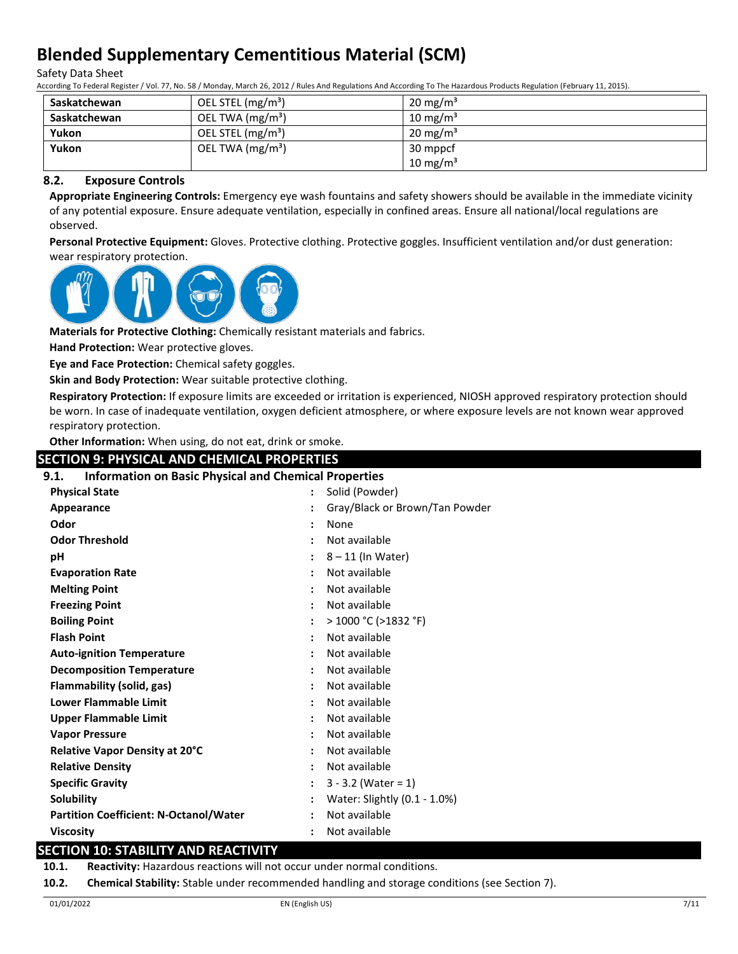Safety Data Sheet

According To Federal Register / Vol. 77, No. 58 / Monday, March 26, 2012 / Rules And Regulations And According To The Hazardous Products Regulation (February 11, 2015).

| Saskatchewan | OEL STEL (mg/m <sup>3</sup> ) | $20 \text{ mg/m}^3$ |
|--------------|-------------------------------|---------------------|
| Saskatchewan | OEL TWA (mg/m <sup>3</sup> )  | $10 \text{ mg/m}^3$ |
| Yukon        | OEL STEL $(mg/m3)$            | $20 \text{ mg/m}^3$ |
| Yukon        | OEL TWA $(mg/m3)$             | 30 mppcf            |
|              |                               | 10 mg/m $3$         |

### **8.2. Exposure Controls**

**Appropriate Engineering Controls:** Emergency eye wash fountains and safety showers should be available in the immediate vicinity of any potential exposure. Ensure adequate ventilation, especially in confined areas. Ensure all national/local regulations are observed.

**Personal Protective Equipment:** Gloves. Protective clothing. Protective goggles. Insufficient ventilation and/or dust generation: wear respiratory protection.



**Materials for Protective Clothing:** Chemically resistant materials and fabrics.

**Hand Protection:** Wear protective gloves.

**Eye and Face Protection:** Chemical safety goggles.

**Skin and Body Protection:** Wear suitable protective clothing.

**Respiratory Protection:** If exposure limits are exceeded or irritation is experienced, NIOSH approved respiratory protection should be worn. In case of inadequate ventilation, oxygen deficient atmosphere, or where exposure levels are not known wear approved respiratory protection.

**Other Information:** When using, do not eat, drink or smoke.

| <b>SECTION 9: PHYSICAL AND CHEMICAL PROPERTIES</b>                   |                                |
|----------------------------------------------------------------------|--------------------------------|
| <b>Information on Basic Physical and Chemical Properties</b><br>9.1. |                                |
| <b>Physical State</b>                                                | Solid (Powder)                 |
| Appearance                                                           | Gray/Black or Brown/Tan Powder |
| Odor                                                                 | None                           |
| <b>Odor Threshold</b>                                                | Not available                  |
| рH                                                                   | $8 - 11$ (In Water)            |
| <b>Evaporation Rate</b>                                              | Not available                  |
| <b>Melting Point</b>                                                 | Not available                  |
| <b>Freezing Point</b>                                                | Not available                  |
| <b>Boiling Point</b>                                                 | $>$ 1000 °C ( $>$ 1832 °F)     |
| <b>Flash Point</b>                                                   | Not available                  |
| <b>Auto-ignition Temperature</b>                                     | Not available                  |
| <b>Decomposition Temperature</b>                                     | Not available                  |
| Flammability (solid, gas)                                            | Not available                  |
| <b>Lower Flammable Limit</b>                                         | Not available                  |
| <b>Upper Flammable Limit</b>                                         | Not available                  |
| <b>Vapor Pressure</b>                                                | Not available                  |
| Relative Vapor Density at 20°C                                       | Not available                  |
| <b>Relative Density</b>                                              | Not available                  |
| <b>Specific Gravity</b>                                              | $3 - 3.2$ (Water = 1)          |
| <b>Solubility</b>                                                    | Water: Slightly (0.1 - 1.0%)   |
| <b>Partition Coefficient: N-Octanol/Water</b>                        | Not available                  |
| <b>Viscosity</b>                                                     | Not available                  |

## **SECTION 10: STABILITY AND REACTIVITY**

**10.1. Reactivity:** Hazardous reactions will not occur under normal conditions.

**10.2. Chemical Stability:** Stable under recommended handling and storage conditions (see Section 7).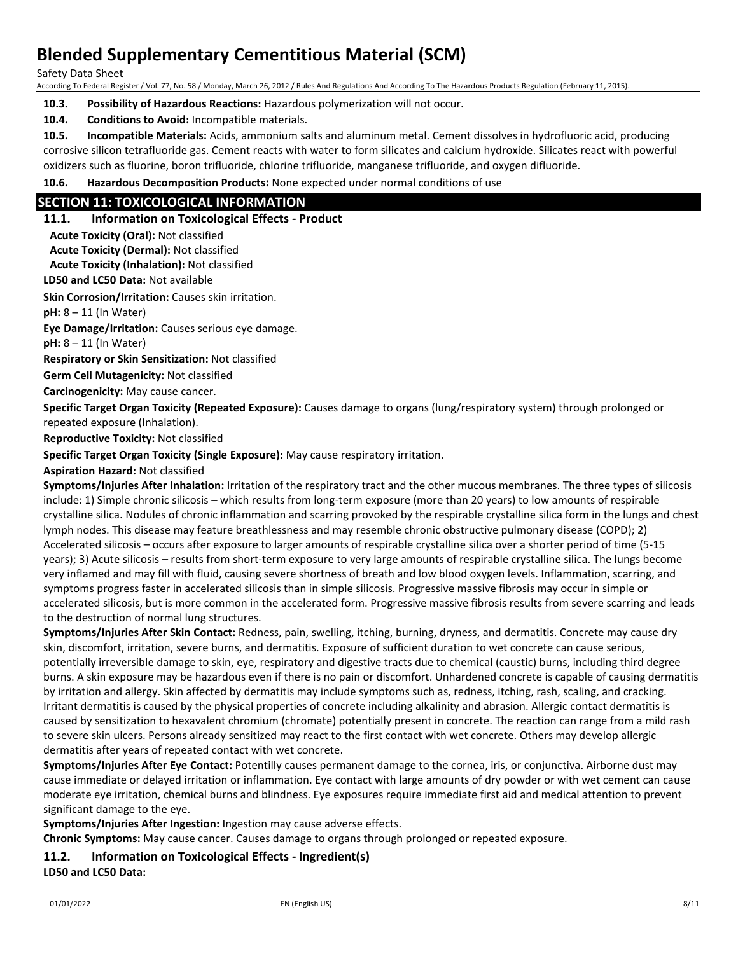Safety Data Sheet

According To Federal Register / Vol. 77, No. 58 / Monday, March 26, 2012 / Rules And Regulations And According To The Hazardous Products Regulation (February 11, 2015).

**10.3. Possibility of Hazardous Reactions:** Hazardous polymerization will not occur.

**10.4. Conditions to Avoid:** Incompatible materials.

**10.5. Incompatible Materials:** Acids, ammonium salts and aluminum metal. Cement dissolves in hydrofluoric acid, producing corrosive silicon tetrafluoride gas. Cement reacts with water to form silicates and calcium hydroxide. Silicates react with powerful oxidizers such as fluorine, boron trifluoride, chlorine trifluoride, manganese trifluoride, and oxygen difluoride.

**10.6. Hazardous Decomposition Products:** None expected under normal conditions of use

## **SECTION 11: TOXICOLOGICAL INFORMATION**

### **11.1. Information on Toxicological Effects - Product**

**Acute Toxicity (Oral):** Not classified

**Acute Toxicity (Dermal):** Not classified

**Acute Toxicity (Inhalation):** Not classified

**LD50 and LC50 Data:** Not available

**Skin Corrosion/Irritation:** Causes skin irritation.

**pH:** 8 – 11 (In Water)

**Eye Damage/Irritation:** Causes serious eye damage.

**pH:** 8 – 11 (In Water)

**Respiratory or Skin Sensitization:** Not classified

**Germ Cell Mutagenicity:** Not classified

**Carcinogenicity:** May cause cancer.

**Specific Target Organ Toxicity (Repeated Exposure):** Causes damage to organs (lung/respiratory system) through prolonged or repeated exposure (Inhalation).

**Reproductive Toxicity:** Not classified

**Specific Target Organ Toxicity (Single Exposure):** May cause respiratory irritation.

#### **Aspiration Hazard:** Not classified

**Symptoms/Injuries After Inhalation:** Irritation of the respiratory tract and the other mucous membranes. The three types of silicosis include: 1) Simple chronic silicosis – which results from long-term exposure (more than 20 years) to low amounts of respirable crystalline silica. Nodules of chronic inflammation and scarring provoked by the respirable crystalline silica form in the lungs and chest lymph nodes. This disease may feature breathlessness and may resemble chronic obstructive pulmonary disease (COPD); 2) Accelerated silicosis – occurs after exposure to larger amounts of respirable crystalline silica over a shorter period of time (5-15 years); 3) Acute silicosis – results from short-term exposure to very large amounts of respirable crystalline silica. The lungs become very inflamed and may fill with fluid, causing severe shortness of breath and low blood oxygen levels. Inflammation, scarring, and symptoms progress faster in accelerated silicosis than in simple silicosis. Progressive massive fibrosis may occur in simple or accelerated silicosis, but is more common in the accelerated form. Progressive massive fibrosis results from severe scarring and leads to the destruction of normal lung structures.

**Symptoms/Injuries After Skin Contact:** Redness, pain, swelling, itching, burning, dryness, and dermatitis. Concrete may cause dry skin, discomfort, irritation, severe burns, and dermatitis. Exposure of sufficient duration to wet concrete can cause serious, potentially irreversible damage to skin, eye, respiratory and digestive tracts due to chemical (caustic) burns, including third degree burns. A skin exposure may be hazardous even if there is no pain or discomfort. Unhardened concrete is capable of causing dermatitis by irritation and allergy. Skin affected by dermatitis may include symptoms such as, redness, itching, rash, scaling, and cracking. Irritant dermatitis is caused by the physical properties of concrete including alkalinity and abrasion. Allergic contact dermatitis is caused by sensitization to hexavalent chromium (chromate) potentially present in concrete. The reaction can range from a mild rash to severe skin ulcers. Persons already sensitized may react to the first contact with wet concrete. Others may develop allergic dermatitis after years of repeated contact with wet concrete.

**Symptoms/Injuries After Eye Contact:** Potentilly causes permanent damage to the cornea, iris, or conjunctiva. Airborne dust may cause immediate or delayed irritation or inflammation. Eye contact with large amounts of dry powder or with wet cement can cause moderate eye irritation, chemical burns and blindness. Eye exposures require immediate first aid and medical attention to prevent significant damage to the eye.

**Symptoms/Injuries After Ingestion:** Ingestion may cause adverse effects.

**Chronic Symptoms:** May cause cancer. Causes damage to organs through prolonged or repeated exposure.

### **11.2. Information on Toxicological Effects - Ingredient(s)**

**LD50 and LC50 Data:**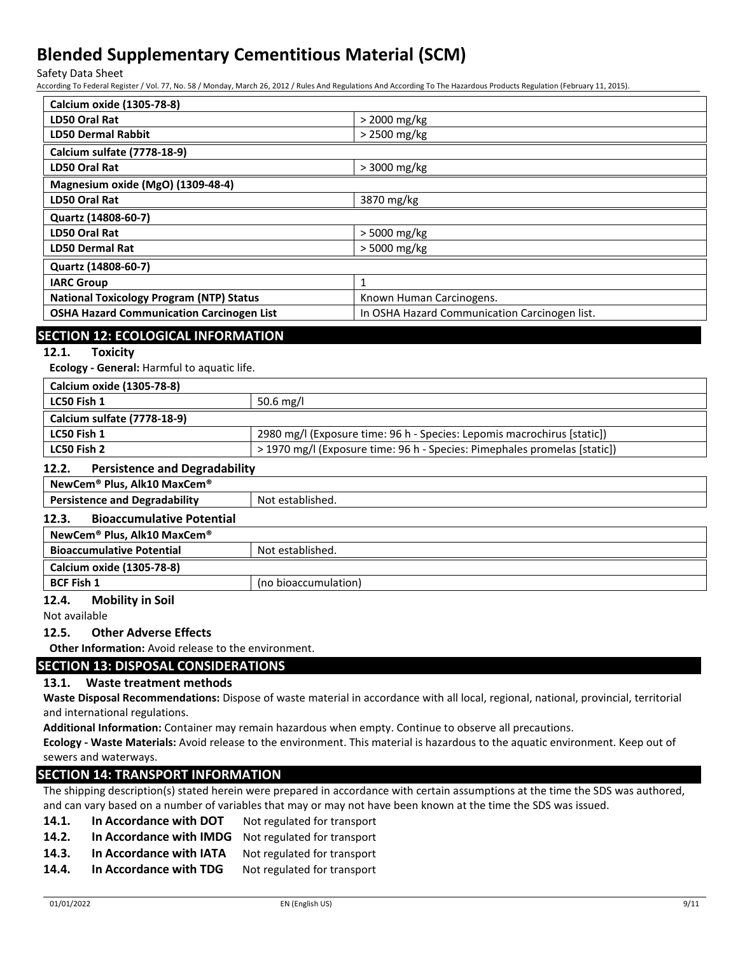Safety Data Sheet

According To Federal Register / Vol. 77, No. 58 / Monday, March 26, 2012 / Rules And Regulations And According To The Hazardous Products Regulation (February 11, 2015).

| Calcium oxide (1305-78-8)                        |                                               |
|--------------------------------------------------|-----------------------------------------------|
| <b>LD50 Oral Rat</b>                             | > 2000 mg/kg                                  |
| <b>LD50 Dermal Rabbit</b>                        | > 2500 mg/kg                                  |
| <b>Calcium sulfate (7778-18-9)</b>               |                                               |
| LD50 Oral Rat                                    | $>3000$ mg/kg                                 |
| Magnesium oxide (MgO) (1309-48-4)                |                                               |
| LD50 Oral Rat                                    | 3870 mg/kg                                    |
| Quartz (14808-60-7)                              |                                               |
| LD50 Oral Rat                                    | $>$ 5000 mg/kg                                |
| <b>LD50 Dermal Rat</b>                           | > 5000 mg/kg                                  |
| Quartz (14808-60-7)                              |                                               |
| <b>IARC Group</b>                                | 1                                             |
| <b>National Toxicology Program (NTP) Status</b>  | Known Human Carcinogens.                      |
| <b>OSHA Hazard Communication Carcinogen List</b> | In OSHA Hazard Communication Carcinogen list. |
|                                                  |                                               |

## **SECTION 12: ECOLOGICAL INFORMATION**

**12.1. Toxicity**

**Ecology - General:** Harmful to aquatic life.

| Calcium oxide (1305-78-8)   |                                                                           |
|-----------------------------|---------------------------------------------------------------------------|
| LC50 Fish 1                 | 50.6 mg/l                                                                 |
| Calcium sulfate (7778-18-9) |                                                                           |
| LC50 Fish 1                 | 2980 mg/l (Exposure time: 96 h - Species: Lepomis macrochirus [static])   |
| LC50 Fish 2                 | > 1970 mg/l (Exposure time: 96 h - Species: Pimephales promelas [static]) |
|                             |                                                                           |

#### **12.2. Persistence and Degradability**

| NewCem® Plus, Alk10 MaxCem®               |                      |
|-------------------------------------------|----------------------|
| <b>Persistence and Degradability</b>      | Not established.     |
| <b>Bioaccumulative Potential</b><br>12.3. |                      |
| NewCem® Plus, Alk10 MaxCem®               |                      |
| <b>Bioaccumulative Potential</b>          | Not established.     |
| Calcium oxide (1305-78-8)                 |                      |
| <b>BCF Fish 1</b>                         | (no bioaccumulation) |

## **12.4. Mobility in Soil**

Not available

#### **12.5. Other Adverse Effects**

**Other Information:** Avoid release to the environment.

### **SECTION 13: DISPOSAL CONSIDERATIONS**

### **13.1. Waste treatment methods**

**Waste Disposal Recommendations:** Dispose of waste material in accordance with all local, regional, national, provincial, territorial and international regulations.

**Additional Information:** Container may remain hazardous when empty. Continue to observe all precautions.

**Ecology - Waste Materials:** Avoid release to the environment. This material is hazardous to the aquatic environment. Keep out of sewers and waterways.

## **SECTION 14: TRANSPORT INFORMATION**

The shipping description(s) stated herein were prepared in accordance with certain assumptions at the time the SDS was authored, and can vary based on a number of variables that may or may not have been known at the time the SDS was issued.

- **14.1. In Accordance with DOT** Not regulated for transport
- **14.2. In Accordance with IMDG** Not regulated for transport
- 14.3. In Accordance with IATA Not regulated for transport
- **14.4.** In Accordance with TDG Not regulated for transport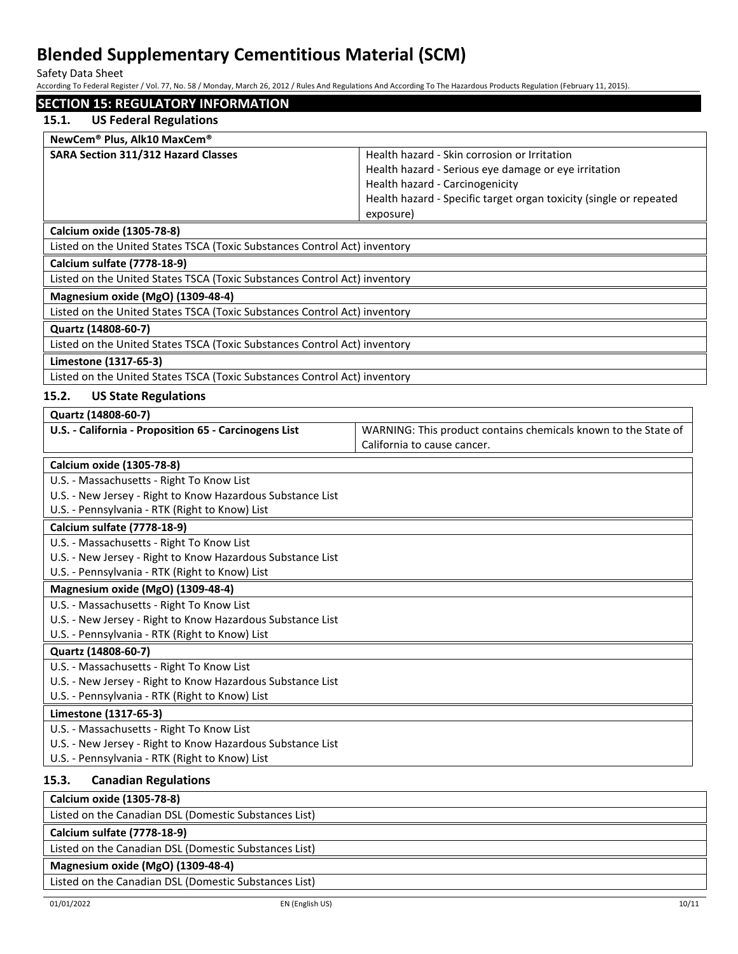Safety Data Sheet

According To Federal Register / Vol. 77, No. 58 / Monday, March 26, 2012 / Rules And Regulations And According To The Hazardous Products Regulation (February 11, 2015).

| <b>SECTION 15: REGULATORY INFORMATION</b>                                 |                                                                    |  |
|---------------------------------------------------------------------------|--------------------------------------------------------------------|--|
| 15.1.<br><b>US Federal Regulations</b>                                    |                                                                    |  |
| NewCem® Plus, Alk10 MaxCem®                                               |                                                                    |  |
| SARA Section 311/312 Hazard Classes                                       | Health hazard - Skin corrosion or Irritation                       |  |
|                                                                           | Health hazard - Serious eye damage or eye irritation               |  |
|                                                                           | Health hazard - Carcinogenicity                                    |  |
|                                                                           | Health hazard - Specific target organ toxicity (single or repeated |  |
|                                                                           | exposure)                                                          |  |
| Calcium oxide (1305-78-8)                                                 |                                                                    |  |
| Listed on the United States TSCA (Toxic Substances Control Act) inventory |                                                                    |  |
| Calcium sulfate (7778-18-9)                                               |                                                                    |  |
| Listed on the United States TSCA (Toxic Substances Control Act) inventory |                                                                    |  |
| Magnesium oxide (MgO) (1309-48-4)                                         |                                                                    |  |
| Listed on the United States TSCA (Toxic Substances Control Act) inventory |                                                                    |  |
| Quartz (14808-60-7)                                                       |                                                                    |  |
| Listed on the United States TSCA (Toxic Substances Control Act) inventory |                                                                    |  |
| Limestone (1317-65-3)                                                     |                                                                    |  |
| Listed on the United States TSCA (Toxic Substances Control Act) inventory |                                                                    |  |
| 15.2.<br><b>US State Regulations</b>                                      |                                                                    |  |
| Quartz (14808-60-7)                                                       |                                                                    |  |
| U.S. - California - Proposition 65 - Carcinogens List                     | WARNING: This product contains chemicals known to the State of     |  |
|                                                                           | California to cause cancer.                                        |  |
| Calcium oxide (1305-78-8)                                                 |                                                                    |  |
| U.S. - Massachusetts - Right To Know List                                 |                                                                    |  |
| U.S. - New Jersey - Right to Know Hazardous Substance List                |                                                                    |  |
| U.S. - Pennsylvania - RTK (Right to Know) List                            |                                                                    |  |
| Calcium sulfate (7778-18-9)                                               |                                                                    |  |
| U.S. - Massachusetts - Right To Know List                                 |                                                                    |  |
| U.S. - New Jersey - Right to Know Hazardous Substance List                |                                                                    |  |
| U.S. - Pennsylvania - RTK (Right to Know) List                            |                                                                    |  |
| Magnesium oxide (MgO) (1309-48-4)                                         |                                                                    |  |
| U.S. - Massachusetts - Right To Know List                                 |                                                                    |  |
| U.S. - New Jersey - Right to Know Hazardous Substance List                |                                                                    |  |
| U.S. - Pennsylvania - RTK (Right to Know) List                            |                                                                    |  |
| Quartz (14808-60-7)                                                       |                                                                    |  |
| U.S. - Massachusetts - Right To Know List                                 |                                                                    |  |
| U.S. - New Jersey - Right to Know Hazardous Substance List                |                                                                    |  |
| U.S. - Pennsylvania - RTK (Right to Know) List                            |                                                                    |  |
| Limestone (1317-65-3)                                                     |                                                                    |  |
| U.S. - Massachusetts - Right To Know List                                 |                                                                    |  |
| U.S. - New Jersey - Right to Know Hazardous Substance List                |                                                                    |  |
| U.S. - Pennsylvania - RTK (Right to Know) List                            |                                                                    |  |
| 15.3.<br><b>Canadian Regulations</b>                                      |                                                                    |  |
| Calcium oxide (1305-78-8)                                                 |                                                                    |  |
| Listed on the Canadian DSL (Domestic Substances List)                     |                                                                    |  |
| Calcium sulfate (7778-18-9)                                               |                                                                    |  |
| Listed on the Canadian DSL (Domestic Substances List)                     |                                                                    |  |

## **Magnesium oxide (MgO) (1309-48-4)**

Listed on the Canadian DSL (Domestic Substances List)